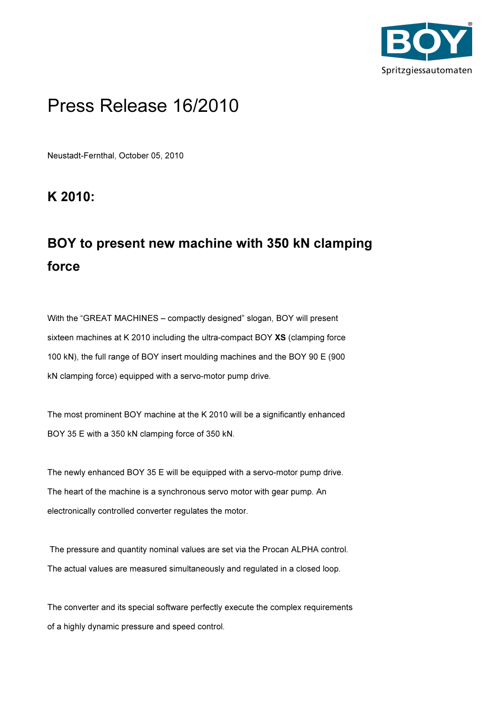

## Press Release 16/2010

Neustadt-Fernthal, October 05, 2010

K 2010:

## BOY to present new machine with 350 kN clamping force

With the "GREAT MACHINES – compactly designed" slogan, BOY will present sixteen machines at K 2010 including the ultra-compact BOY XS (clamping force 100 kN), the full range of BOY insert moulding machines and the BOY 90 E (900 kN clamping force) equipped with a servo-motor pump drive.

The most prominent BOY machine at the K 2010 will be a significantly enhanced BOY 35 E with a 350 kN clamping force of 350 kN.

The newly enhanced BOY 35 E will be equipped with a servo-motor pump drive. The heart of the machine is a synchronous servo motor with gear pump. An electronically controlled converter regulates the motor.

 The pressure and quantity nominal values are set via the Procan ALPHA control. The actual values are measured simultaneously and regulated in a closed loop.

The converter and its special software perfectly execute the complex requirements of a highly dynamic pressure and speed control.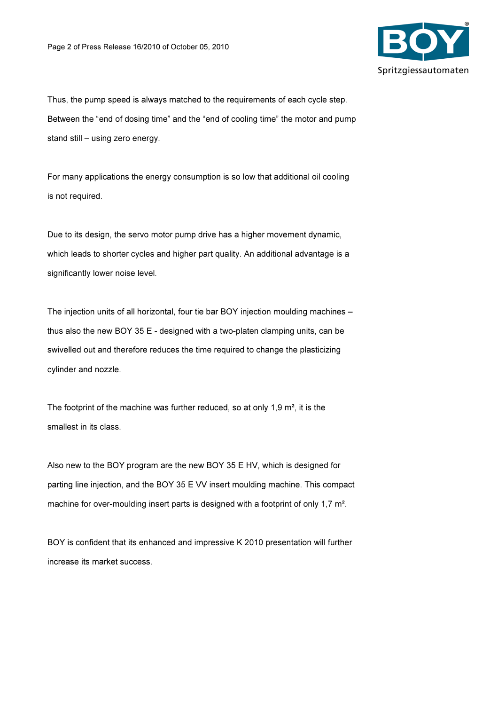

Thus, the pump speed is always matched to the requirements of each cycle step. Between the "end of dosing time" and the "end of cooling time" the motor and pump stand still – using zero energy.

For many applications the energy consumption is so low that additional oil cooling is not required.

Due to its design, the servo motor pump drive has a higher movement dynamic. which leads to shorter cycles and higher part quality. An additional advantage is a significantly lower noise level.

The injection units of all horizontal, four tie bar BOY injection moulding machines – thus also the new BOY 35 E - designed with a two-platen clamping units, can be swivelled out and therefore reduces the time required to change the plasticizing cylinder and nozzle.

The footprint of the machine was further reduced, so at only 1,9 m², it is the smallest in its class.

Also new to the BOY program are the new BOY 35 E HV, which is designed for parting line injection, and the BOY 35 E VV insert moulding machine. This compact machine for over-moulding insert parts is designed with a footprint of only 1,7 m<sup>2</sup>.

BOY is confident that its enhanced and impressive K 2010 presentation will further increase its market success.